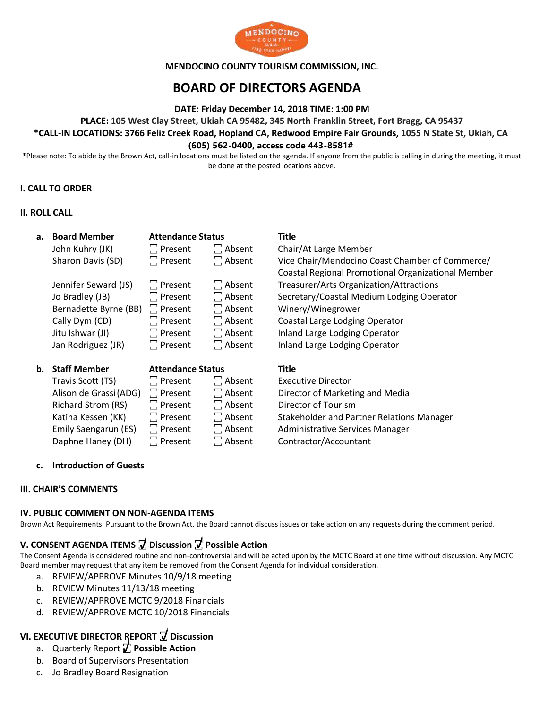

### **MENDOCINO COUNTY TOURISM COMMISSION, INC.**

# **BOARD OF DIRECTORS AGENDA**

**DATE: Friday December 14, 2018 TIME: 1:00 PM**

**PLACE: 105 West Clay Street, Ukiah CA 95482, 345 North Franklin Street, Fort Bragg, CA 95437**

# **\*CALL-IN LOCATIONS: 3766 Feliz Creek Road, Hopland CA, Redwood Empire Fair Grounds, 1055 N State St, Ukiah, CA**

### **(605) 562-0400, access code 443-8581#**

\*Please note: To abide by the Brown Act, call-in locations must be listed on the agenda. If anyone from the public is calling in during the meeting, it must be done at the posted locations above.

## **I. CALL TO ORDER**

### **II. ROLL CALL**

| a. Board Member        | <b>Attendance Status</b> |               | <b>Title</b>                                       |
|------------------------|--------------------------|---------------|----------------------------------------------------|
| John Kuhry (JK)        | $\Box$ Present           | $\Box$ Absent | Chair/At Large Member                              |
| Sharon Davis (SD)      | $\Box$ Present           | $\Box$ Absent | Vice Chair/Mendocino Coast Chamber of Commerce/    |
|                        |                          |               | Coastal Regional Promotional Organizational Member |
| Jennifer Seward (JS)   | $\Box$ Present           | $\Box$ Absent | Treasurer/Arts Organization/Attractions            |
| Jo Bradley (JB)        | $\Box$ Present           | $\Box$ Absent | Secretary/Coastal Medium Lodging Operator          |
| Bernadette Byrne (BB)  | $\Box$ Present           | $\Box$ Absent | Winery/Winegrower                                  |
| Cally Dym (CD)         | $\Box$ Present           | $\Box$ Absent | Coastal Large Lodging Operator                     |
| Jitu Ishwar (JI)       | $\Box$ Present           | $\Box$ Absent | Inland Large Lodging Operator                      |
| Jan Rodriguez (JR)     | $\Box$ Present           | $\Box$ Absent | Inland Large Lodging Operator                      |
| b. Staff Member        | <b>Attendance Status</b> |               | <b>Title</b>                                       |
| Travis Scott (TS)      | $\Box$ Present           | $\Box$ Absent | <b>Executive Director</b>                          |
|                        |                          |               |                                                    |
| Alison de Grassi (ADG) | $\Box$ Present           | Ahsent        | Director of Marketing and Media                    |

Richard Strom (RS)  $\Box$  Present  $\Box$  Absent Director of Tourism

Alison de Grassi(ADG) ꙱ Present ꙱ Absent Director of Marketing and Media Katina Kessen (KK)  $\Box$  Present  $\Box$  Absent Stakeholder and Partner Relations Manager<br>Emily Saengarun (ES)  $\Box$  Present  $\Box$  Absent Administrative Services Manager Emily Saengarun (ES)  $\Box$  Present  $\Box$  Absent Administrative Services Manager Daphne Haney (DH)  $\Box$  Present  $\Box$  Absent Contractor/Accountant

## **c. Introduction of Guests**

## **III. CHAIR'S COMMENTS**

### **IV. PUBLIC COMMENT ON NON-AGENDA ITEMS**

Brown Act Requirements: Pursuant to the Brown Act, the Board cannot discuss issues or take action on any requests during the comment period.

## **V. CONSENT AGENDA ITEMS ꙱ Discussion ꙱ Possible Action**

The Consent Agenda is considered routine and non-controversial and will be acted upon by the MCTC Board at one time without discussion. Any MCTC Board member may request that any item be removed from the Consent Agenda for individual consideration.

- a. REVIEW/APPROVE Minutes 10/9/18 meeting
- b. REVIEW Minutes 11/13/18 meeting
- c. REVIEW/APPROVE MCTC 9/2018 Financials
- d. REVIEW/APPROVE MCTC 10/2018 Financials

#### **VI. EXECUTIVE DIRECTOR REPORT ꙱ Discussion ꙱**

- a. Quarterly Report **꙱ Possible Action**
- a. Quarterly Report *L* Possible Actional Presentation **i**
- c. Jo Bradley Board Resignation